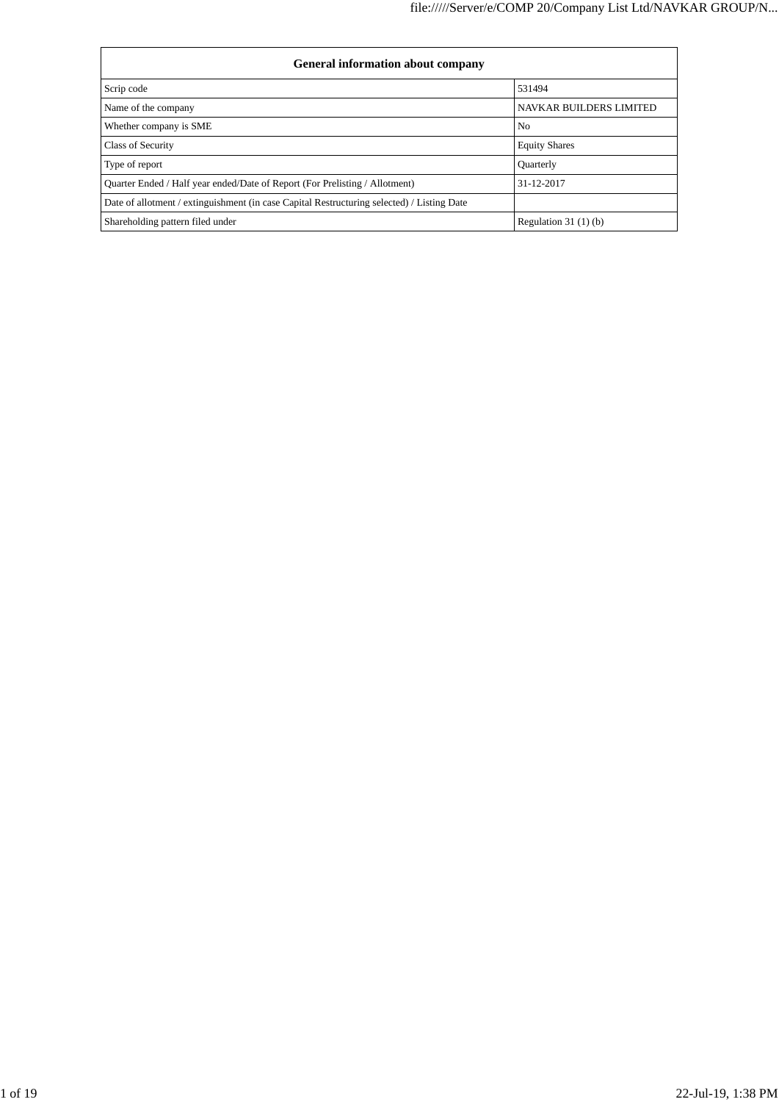| <b>General information about company</b>                                                   |                                |
|--------------------------------------------------------------------------------------------|--------------------------------|
| Scrip code                                                                                 | 531494                         |
| Name of the company                                                                        | <b>NAVKAR BUILDERS LIMITED</b> |
| Whether company is SME                                                                     | N <sub>0</sub>                 |
| Class of Security                                                                          | <b>Equity Shares</b>           |
| Type of report                                                                             | <b>Quarterly</b>               |
| Quarter Ended / Half year ended/Date of Report (For Prelisting / Allotment)                | 31-12-2017                     |
| Date of allotment / extinguishment (in case Capital Restructuring selected) / Listing Date |                                |
| Shareholding pattern filed under                                                           | Regulation $31(1)(b)$          |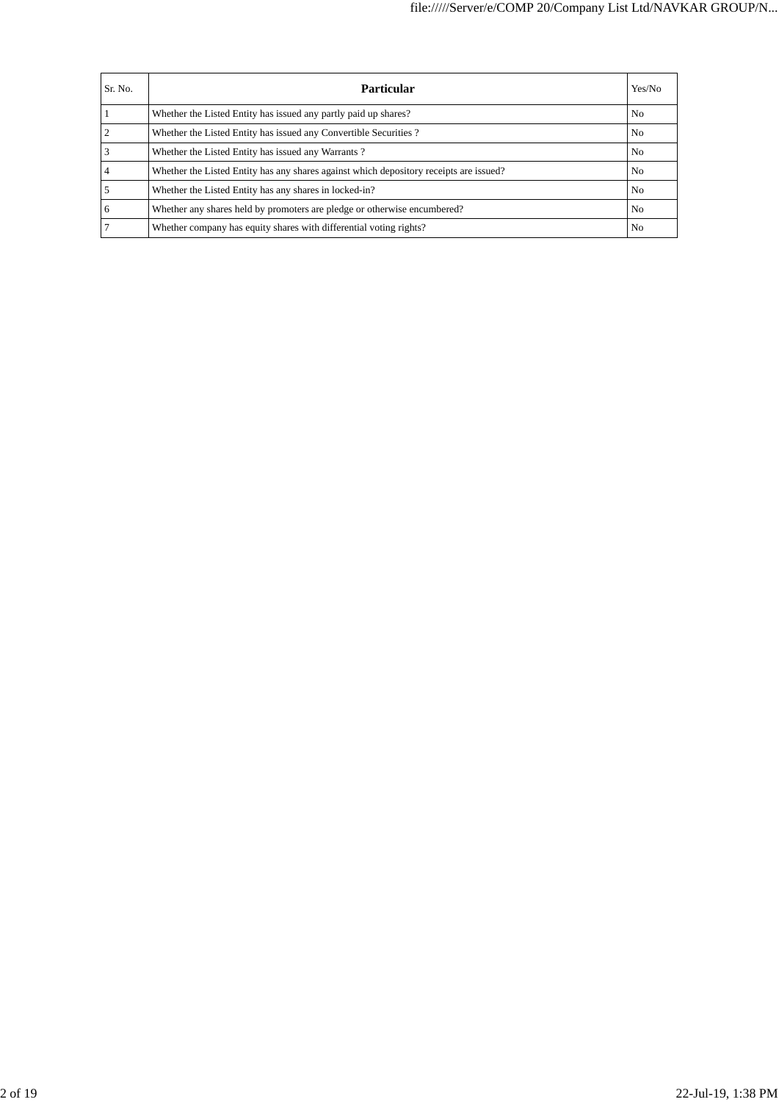| Sr. No. | Particular                                                                             | Yes/No         |
|---------|----------------------------------------------------------------------------------------|----------------|
|         | Whether the Listed Entity has issued any partly paid up shares?                        | N <sub>o</sub> |
|         | Whether the Listed Entity has issued any Convertible Securities?                       | N <sub>o</sub> |
|         | Whether the Listed Entity has issued any Warrants?                                     | N <sub>0</sub> |
|         | Whether the Listed Entity has any shares against which depository receipts are issued? | N <sub>0</sub> |
|         | Whether the Listed Entity has any shares in locked-in?                                 | N <sub>o</sub> |
| 6       | Whether any shares held by promoters are pledge or otherwise encumbered?               | N <sub>0</sub> |
|         | Whether company has equity shares with differential voting rights?                     | N <sub>0</sub> |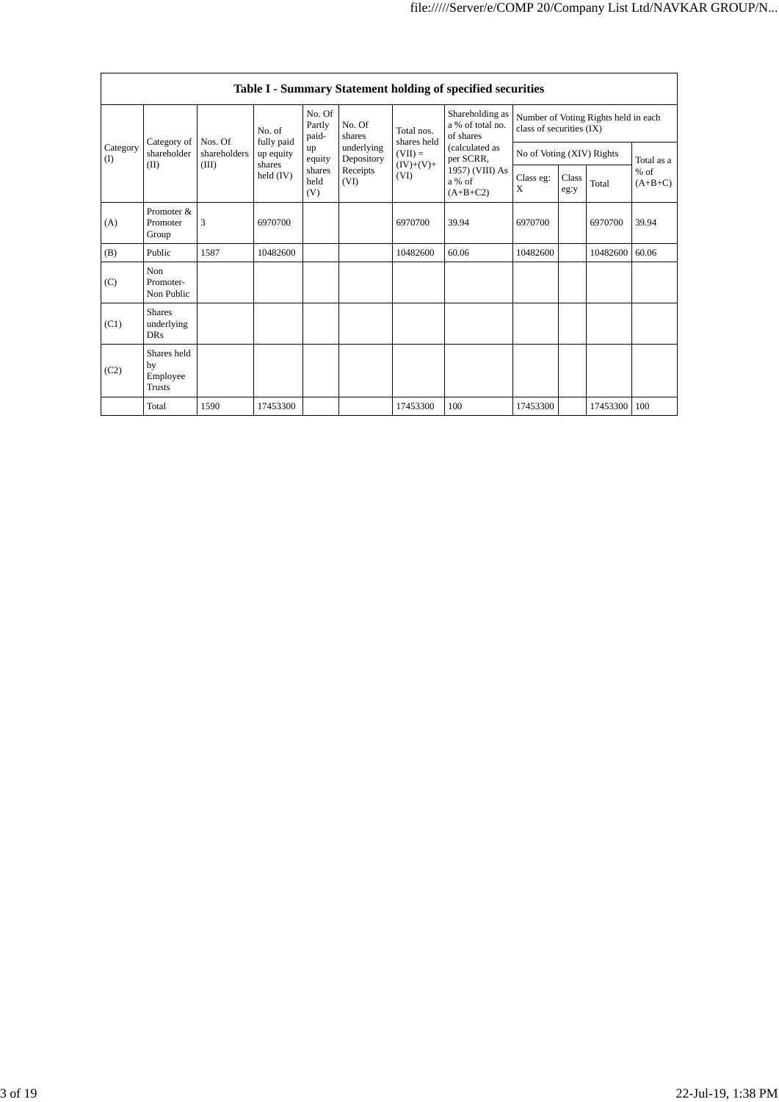|                 |                                           |                         |                         |                           |                          |                                         | Table I - Summary Statement holding of specified securities |                                                                  |       |                     |            |
|-----------------|-------------------------------------------|-------------------------|-------------------------|---------------------------|--------------------------|-----------------------------------------|-------------------------------------------------------------|------------------------------------------------------------------|-------|---------------------|------------|
|                 |                                           | No. of                  |                         | No. Of<br>Partly<br>paid- | No. Of<br>shares         | Total nos.                              | Shareholding as<br>a % of total no.<br>of shares            | Number of Voting Rights held in each<br>class of securities (IX) |       |                     |            |
| Category<br>(I) | Category of<br>shareholder                | Nos. Of<br>shareholders | fully paid<br>up equity | up<br>equity              | underlying<br>Depository | shares held<br>$(VII) =$                | (calculated as<br>per SCRR,                                 | No of Voting (XIV) Rights                                        |       |                     | Total as a |
| (II)            | shares<br>(III)<br>held $(IV)$            |                         | shares<br>held<br>(V)   | Receipts<br>(VI)          | $(IV)+(V)+$<br>(VI)      | 1957) (VIII) As<br>a % of<br>$(A+B+C2)$ | Class eg:<br>X                                              | Class<br>eg:y                                                    | Total | $%$ of<br>$(A+B+C)$ |            |
| (A)             | Promoter &<br>Promoter<br>Group           | 3                       | 6970700                 |                           |                          | 6970700                                 | 39.94                                                       | 6970700                                                          |       | 6970700             | 39.94      |
| (B)             | Public                                    | 1587                    | 10482600                |                           |                          | 10482600                                | 60.06                                                       | 10482600                                                         |       | 10482600            | 60.06      |
| (C)             | Non<br>Promoter-<br>Non Public            |                         |                         |                           |                          |                                         |                                                             |                                                                  |       |                     |            |
| (C1)            | <b>Shares</b><br>underlying<br><b>DRs</b> |                         |                         |                           |                          |                                         |                                                             |                                                                  |       |                     |            |
| (C2)            | Shares held<br>by<br>Employee<br>Trusts   |                         |                         |                           |                          |                                         |                                                             |                                                                  |       |                     |            |
|                 | Total                                     | 1590                    | 17453300                |                           |                          | 17453300                                | 100                                                         | 17453300                                                         |       | 17453300            | 100        |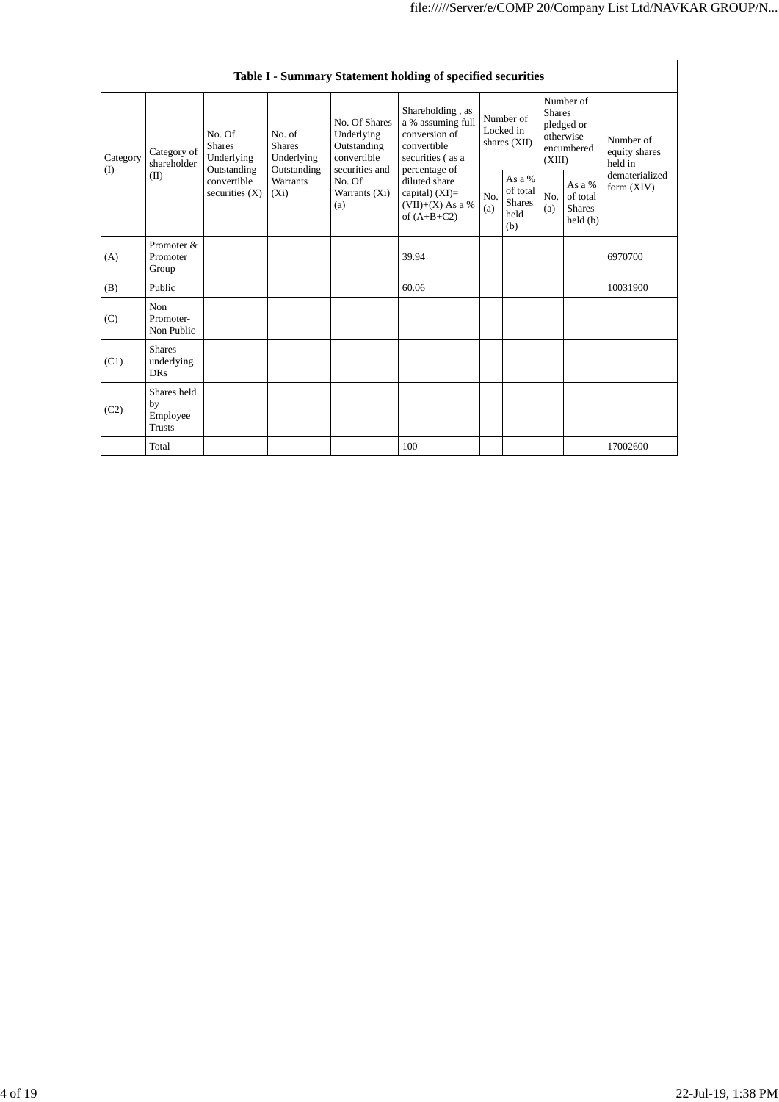|                         |                                                |                                                                                               |                                                  |                                                                                           | Table I - Summary Statement holding of specified securities                               |                                                    |                                        |                                                |                                                                               |                                       |
|-------------------------|------------------------------------------------|-----------------------------------------------------------------------------------------------|--------------------------------------------------|-------------------------------------------------------------------------------------------|-------------------------------------------------------------------------------------------|----------------------------------------------------|----------------------------------------|------------------------------------------------|-------------------------------------------------------------------------------|---------------------------------------|
| Category of<br>Category |                                                | No. Of<br>No. of<br><b>Shares</b><br><b>Shares</b><br>Underlying<br>Underlying<br>shareholder |                                                  | No. Of Shares<br>Underlying<br>Outstanding<br>convertible                                 | Shareholding, as<br>a % assuming full<br>conversion of<br>convertible<br>securities (as a |                                                    | Number of<br>Locked in<br>shares (XII) |                                                | Number of<br><b>Shares</b><br>pledged or<br>otherwise<br>encumbered<br>(XIII) | Number of<br>equity shares<br>held in |
| (I)<br>(II)             | Outstanding<br>convertible<br>securities $(X)$ | Outstanding<br><b>Warrants</b><br>$(X_i)$                                                     | securities and<br>No. Of<br>Warrants (Xi)<br>(a) | percentage of<br>diluted share<br>capital) $(XI)=$<br>$(VII)+(X)$ As a %<br>of $(A+B+C2)$ | No.<br>(a)                                                                                | As a %<br>of total<br><b>Shares</b><br>held<br>(b) | No.<br>(a)                             | As a %<br>of total<br><b>Shares</b><br>held(b) | dematerialized<br>form $(XIV)$                                                |                                       |
| (A)                     | Promoter &<br>Promoter<br>Group                |                                                                                               |                                                  |                                                                                           | 39.94                                                                                     |                                                    |                                        |                                                |                                                                               | 6970700                               |
| (B)                     | Public                                         |                                                                                               |                                                  |                                                                                           | 60.06                                                                                     |                                                    |                                        |                                                |                                                                               | 10031900                              |
| (C)                     | Non<br>Promoter-<br>Non Public                 |                                                                                               |                                                  |                                                                                           |                                                                                           |                                                    |                                        |                                                |                                                                               |                                       |
| (C1)                    | <b>Shares</b><br>underlying<br><b>DRs</b>      |                                                                                               |                                                  |                                                                                           |                                                                                           |                                                    |                                        |                                                |                                                                               |                                       |
| (C2)                    | Shares held<br>by<br>Employee<br><b>Trusts</b> |                                                                                               |                                                  |                                                                                           |                                                                                           |                                                    |                                        |                                                |                                                                               |                                       |
|                         | Total                                          |                                                                                               |                                                  |                                                                                           | 100                                                                                       |                                                    |                                        |                                                |                                                                               | 17002600                              |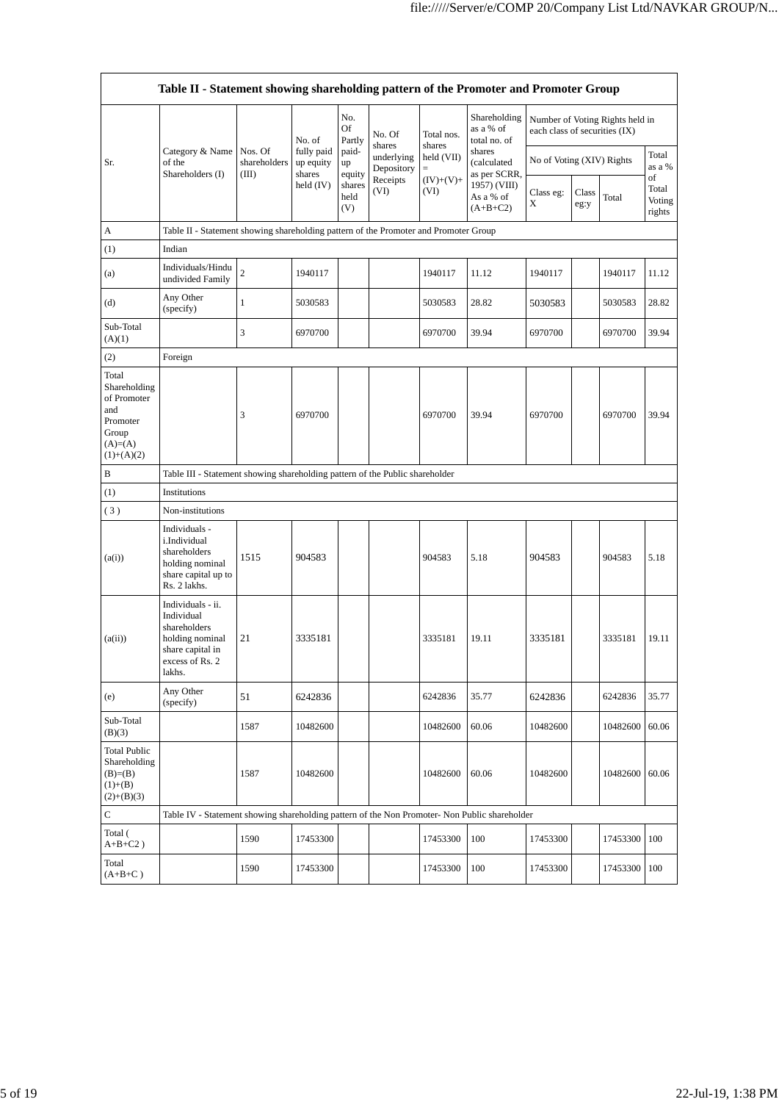|                                                                                               | Table II - Statement showing shareholding pattern of the Promoter and Promoter Group                                |                       |                                   |                       |                                    |                             |                                           |                               |                 |                                 |                                 |
|-----------------------------------------------------------------------------------------------|---------------------------------------------------------------------------------------------------------------------|-----------------------|-----------------------------------|-----------------------|------------------------------------|-----------------------------|-------------------------------------------|-------------------------------|-----------------|---------------------------------|---------------------------------|
|                                                                                               |                                                                                                                     |                       | No. of                            | No.<br>Of<br>Partly   | No. Of                             | Total nos.                  | Shareholding<br>as a % of<br>total no. of | each class of securities (IX) |                 | Number of Voting Rights held in |                                 |
| Sr.                                                                                           | Category & Name   Nos. Of<br>of the<br>Shareholders (I)                                                             | shareholders<br>(III) | fully paid<br>up equity<br>shares | paid-<br>up<br>equity | shares<br>underlying<br>Depository | shares<br>held (VII)<br>$=$ | shares<br>(calculated<br>as per SCRR,     | No of Voting (XIV) Rights     | Total<br>as a % |                                 |                                 |
|                                                                                               |                                                                                                                     |                       | held $(IV)$                       | shares<br>held<br>(V) | Receipts<br>(VI)                   | $(IV)+(V)+$<br>(VI)         | 1957) (VIII)<br>As a % of<br>$(A+B+C2)$   | Class eg:<br>X                | Class<br>eg:y   | Total                           | of<br>Total<br>Voting<br>rights |
| А                                                                                             | Table II - Statement showing shareholding pattern of the Promoter and Promoter Group                                |                       |                                   |                       |                                    |                             |                                           |                               |                 |                                 |                                 |
| (1)                                                                                           | Indian                                                                                                              |                       |                                   |                       |                                    |                             |                                           |                               |                 |                                 |                                 |
| (a)                                                                                           | Individuals/Hindu<br>undivided Family                                                                               | $\boldsymbol{2}$      | 1940117                           |                       |                                    | 1940117                     | 11.12                                     | 1940117                       |                 | 1940117                         | 11.12                           |
| (d)                                                                                           | Any Other<br>(specify)                                                                                              | $\mathbf{1}$          | 5030583                           |                       |                                    | 5030583                     | 28.82                                     | 5030583                       |                 | 5030583                         | 28.82                           |
| Sub-Total<br>(A)(1)                                                                           |                                                                                                                     | 3                     | 6970700                           |                       |                                    | 6970700                     | 39.94                                     | 6970700                       |                 | 6970700                         | 39.94                           |
| (2)                                                                                           | Foreign                                                                                                             |                       |                                   |                       |                                    |                             |                                           |                               |                 |                                 |                                 |
| Total<br>Shareholding<br>of Promoter<br>and<br>Promoter<br>Group<br>$(A)=(A)$<br>$(1)+(A)(2)$ |                                                                                                                     | 3                     | 6970700                           |                       |                                    | 6970700                     | 39.94                                     | 6970700                       |                 | 6970700                         | 39.94                           |
| В                                                                                             | Table III - Statement showing shareholding pattern of the Public shareholder                                        |                       |                                   |                       |                                    |                             |                                           |                               |                 |                                 |                                 |
| (1)                                                                                           | Institutions                                                                                                        |                       |                                   |                       |                                    |                             |                                           |                               |                 |                                 |                                 |
| (3)                                                                                           | Non-institutions                                                                                                    |                       |                                   |                       |                                    |                             |                                           |                               |                 |                                 |                                 |
| (a(i))                                                                                        | Individuals -<br>i.Individual<br>shareholders<br>holding nominal<br>share capital up to<br>Rs. 2 lakhs.             | 1515                  | 904583                            |                       |                                    | 904583                      | 5.18                                      | 904583                        |                 | 904583                          | 5.18                            |
| (a(ii))                                                                                       | Individuals - ii.<br>Individual<br>shareholders<br>holding nominal<br>share capital in<br>excess of Rs. 2<br>lakhs. | 21                    | 3335181                           |                       |                                    | 3335181                     | 19.11                                     | 3335181                       |                 | 3335181                         | 19.11                           |
| (e)                                                                                           | Any Other<br>(specify)                                                                                              | 51                    | 6242836                           |                       |                                    | 6242836                     | 35.77                                     | 6242836                       |                 | 6242836                         | 35.77                           |
| Sub-Total<br>(B)(3)                                                                           |                                                                                                                     | 1587                  | 10482600                          |                       |                                    | 10482600                    | 60.06                                     | 10482600                      |                 | 10482600                        | 60.06                           |
| <b>Total Public</b><br>Shareholding<br>$(B)= (B)$<br>$(1)+(B)$<br>$(2)+(B)(3)$                |                                                                                                                     | 1587                  | 10482600                          |                       |                                    | 10482600                    | 60.06                                     | 10482600                      |                 | 10482600                        | 60.06                           |
| С                                                                                             | Table IV - Statement showing shareholding pattern of the Non Promoter- Non Public shareholder                       |                       |                                   |                       |                                    |                             |                                           |                               |                 |                                 |                                 |
| Total (<br>$\mathrm{A{+}B{+}C2}$ )                                                            |                                                                                                                     | 1590                  | 17453300                          |                       |                                    | 17453300                    | 100                                       | 17453300                      |                 | 17453300                        | 100                             |
| Total<br>$(A+B+C)$                                                                            |                                                                                                                     | 1590                  | 17453300                          |                       |                                    | 17453300                    | 100                                       | 17453300                      |                 | 17453300                        | 100                             |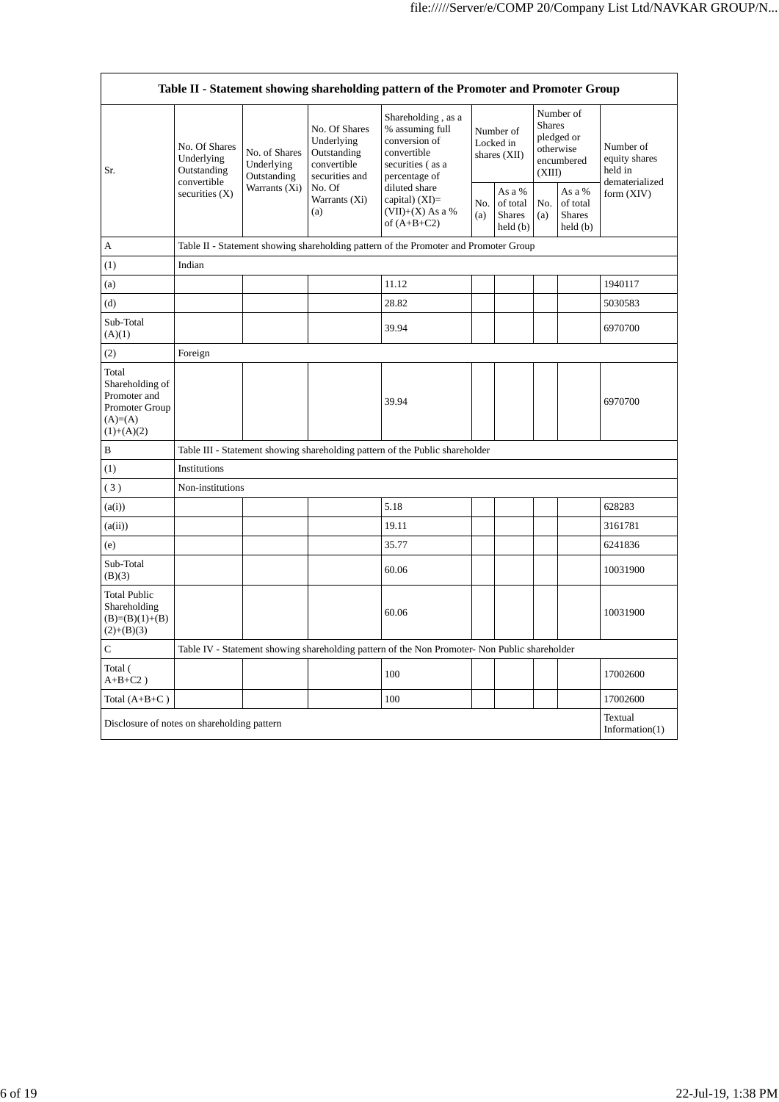|                                                                                          |                                                                          |                                            |                                                                             | Table II - Statement showing shareholding pattern of the Promoter and Promoter Group                                                                                                    |                                          |                                                                |                                                                               |                                                |                                                         |
|------------------------------------------------------------------------------------------|--------------------------------------------------------------------------|--------------------------------------------|-----------------------------------------------------------------------------|-----------------------------------------------------------------------------------------------------------------------------------------------------------------------------------------|------------------------------------------|----------------------------------------------------------------|-------------------------------------------------------------------------------|------------------------------------------------|---------------------------------------------------------|
| Sr.                                                                                      | No. Of Shares<br>Underlying<br>Outstanding                               | No. of Shares<br>Underlying<br>Outstanding | No. Of Shares<br>Underlying<br>Outstanding<br>convertible<br>securities and | Shareholding, as a<br>% assuming full<br>conversion of<br>convertible<br>securities (as a<br>percentage of<br>diluted share<br>capital) $(XI)$ =<br>$(VII)+(X)$ As a %<br>of $(A+B+C2)$ | Number of<br>Locked in<br>shares $(XII)$ |                                                                | Number of<br><b>Shares</b><br>pledged or<br>otherwise<br>encumbered<br>(XIII) |                                                | Number of<br>equity shares<br>held in<br>dematerialized |
|                                                                                          | convertible<br>securities $(X)$                                          | Warrants (Xi)                              | No. Of<br>Warrants (Xi)<br>(a)                                              |                                                                                                                                                                                         | No.<br>(a)                               | As a %<br>of total<br><b>Shares</b><br>$\text{held}(\text{b})$ | No.<br>(a)                                                                    | As a %<br>of total<br><b>Shares</b><br>held(b) | form $(XIV)$                                            |
| A                                                                                        |                                                                          |                                            |                                                                             | Table II - Statement showing shareholding pattern of the Promoter and Promoter Group                                                                                                    |                                          |                                                                |                                                                               |                                                |                                                         |
| (1)                                                                                      | Indian                                                                   |                                            |                                                                             |                                                                                                                                                                                         |                                          |                                                                |                                                                               |                                                |                                                         |
| (a)                                                                                      |                                                                          |                                            |                                                                             | 11.12                                                                                                                                                                                   |                                          |                                                                |                                                                               |                                                | 1940117                                                 |
| (d)                                                                                      |                                                                          |                                            |                                                                             | 28.82                                                                                                                                                                                   |                                          |                                                                |                                                                               |                                                | 5030583                                                 |
| Sub-Total<br>(A)(1)                                                                      |                                                                          |                                            |                                                                             | 39.94                                                                                                                                                                                   |                                          |                                                                |                                                                               |                                                | 6970700                                                 |
| (2)                                                                                      | Foreign                                                                  |                                            |                                                                             |                                                                                                                                                                                         |                                          |                                                                |                                                                               |                                                |                                                         |
| Total<br>Shareholding of<br>Promoter and<br>Promoter Group<br>$(A)= (A)$<br>$(1)+(A)(2)$ |                                                                          |                                            |                                                                             | 39.94                                                                                                                                                                                   |                                          |                                                                |                                                                               |                                                | 6970700                                                 |
| B                                                                                        |                                                                          |                                            |                                                                             | Table III - Statement showing shareholding pattern of the Public shareholder                                                                                                            |                                          |                                                                |                                                                               |                                                |                                                         |
| (1)                                                                                      | Institutions                                                             |                                            |                                                                             |                                                                                                                                                                                         |                                          |                                                                |                                                                               |                                                |                                                         |
| (3)                                                                                      | Non-institutions                                                         |                                            |                                                                             |                                                                                                                                                                                         |                                          |                                                                |                                                                               |                                                |                                                         |
| (a(i))                                                                                   |                                                                          |                                            |                                                                             | 5.18                                                                                                                                                                                    |                                          |                                                                |                                                                               |                                                | 628283                                                  |
| (a(ii))                                                                                  |                                                                          |                                            |                                                                             | 19.11                                                                                                                                                                                   |                                          |                                                                |                                                                               |                                                | 3161781                                                 |
| (e)                                                                                      |                                                                          |                                            |                                                                             | 35.77                                                                                                                                                                                   |                                          |                                                                |                                                                               |                                                | 6241836                                                 |
| Sub-Total<br>(B)(3)                                                                      |                                                                          |                                            |                                                                             | 60.06                                                                                                                                                                                   |                                          |                                                                |                                                                               |                                                | 10031900                                                |
| <b>Total Public</b><br>Shareholding<br>$(B)=(B)(1)+(B)$<br>$(2)+(B)(3)$                  |                                                                          |                                            |                                                                             | 60.06                                                                                                                                                                                   |                                          |                                                                |                                                                               |                                                | 10031900                                                |
| $\mathsf{C}$                                                                             |                                                                          |                                            |                                                                             | Table IV - Statement showing shareholding pattern of the Non Promoter- Non Public shareholder                                                                                           |                                          |                                                                |                                                                               |                                                |                                                         |
| Total (<br>$A+B+C2$ )                                                                    |                                                                          |                                            |                                                                             | 100                                                                                                                                                                                     |                                          |                                                                |                                                                               |                                                | 17002600                                                |
| Total $(A+B+C)$                                                                          |                                                                          |                                            |                                                                             | 100                                                                                                                                                                                     |                                          |                                                                |                                                                               |                                                | 17002600                                                |
|                                                                                          | Textual<br>Disclosure of notes on shareholding pattern<br>Information(1) |                                            |                                                                             |                                                                                                                                                                                         |                                          |                                                                |                                                                               |                                                |                                                         |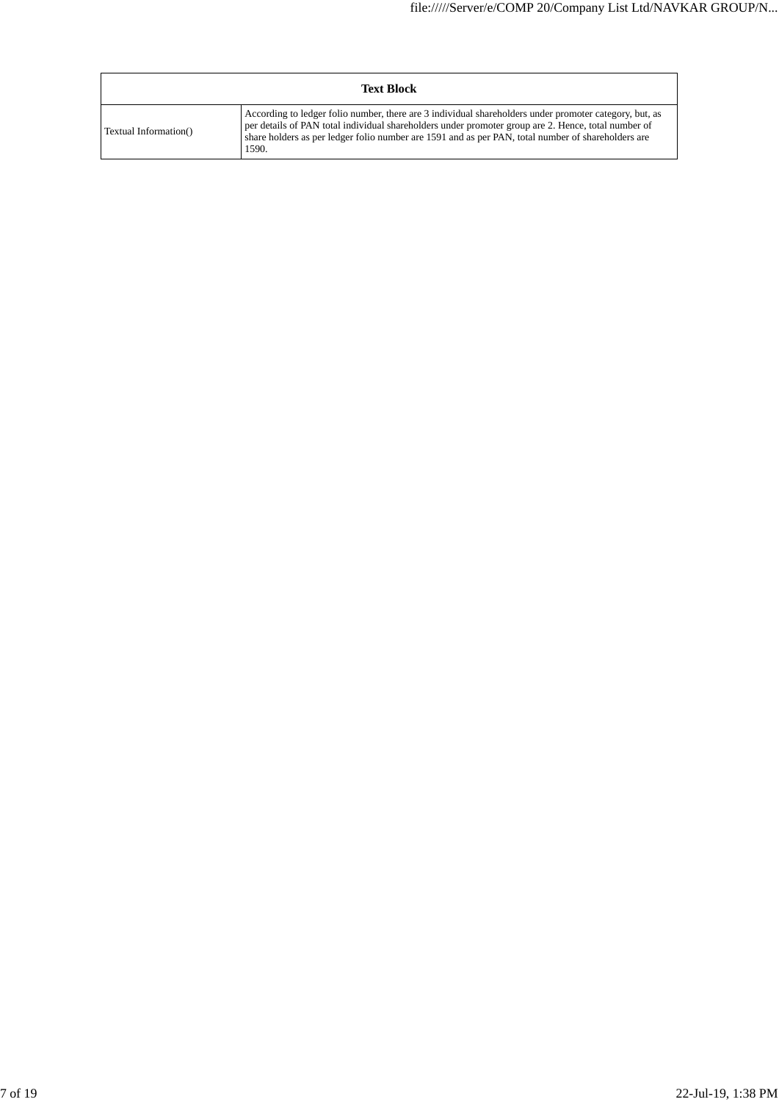|                       | <b>Text Block</b>                                                                                                                                                                                                                                                                                                            |
|-----------------------|------------------------------------------------------------------------------------------------------------------------------------------------------------------------------------------------------------------------------------------------------------------------------------------------------------------------------|
| Textual Information() | According to ledger folio number, there are 3 individual shareholders under promoter category, but, as<br>per details of PAN total individual shareholders under promoter group are 2. Hence, total number of<br>share holders as per ledger folio number are 1591 and as per PAN, total number of shareholders are<br>1590. |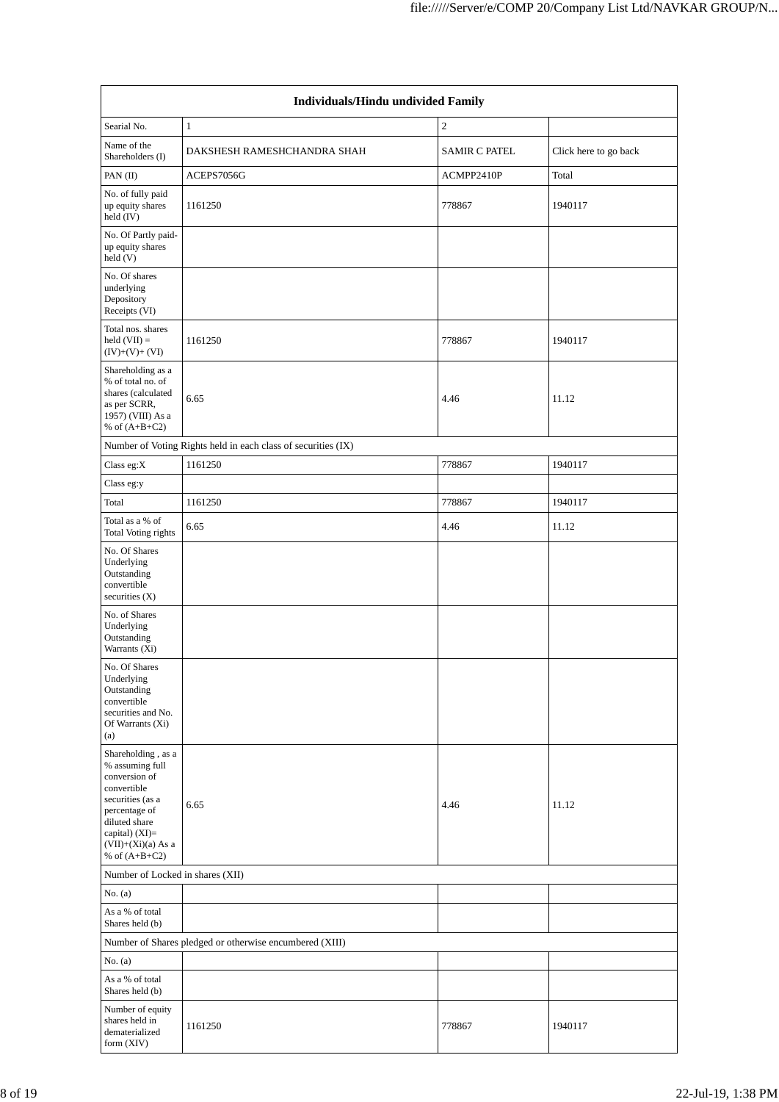|                                                                                                                                                                                            | <b>Individuals/Hindu undivided Family</b>                     |                      |                       |  |  |  |  |  |
|--------------------------------------------------------------------------------------------------------------------------------------------------------------------------------------------|---------------------------------------------------------------|----------------------|-----------------------|--|--|--|--|--|
| Searial No.                                                                                                                                                                                | $\mathbf{1}$                                                  | $\overline{c}$       |                       |  |  |  |  |  |
| Name of the<br>Shareholders (I)                                                                                                                                                            | DAKSHESH RAMESHCHANDRA SHAH                                   | <b>SAMIR C PATEL</b> | Click here to go back |  |  |  |  |  |
| PAN (II)                                                                                                                                                                                   | ACEPS7056G                                                    | ACMPP2410P           | Total                 |  |  |  |  |  |
| No. of fully paid<br>up equity shares<br>held (IV)                                                                                                                                         | 1161250                                                       | 778867               | 1940117               |  |  |  |  |  |
| No. Of Partly paid-<br>up equity shares<br>held (V)                                                                                                                                        |                                                               |                      |                       |  |  |  |  |  |
| No. Of shares<br>underlying<br>Depository<br>Receipts (VI)                                                                                                                                 |                                                               |                      |                       |  |  |  |  |  |
| Total nos. shares<br>held $(VII) =$<br>$(IV)+(V)+(VI)$                                                                                                                                     | 1161250                                                       | 778867               | 1940117               |  |  |  |  |  |
| Shareholding as a<br>% of total no. of<br>shares (calculated<br>as per SCRR,<br>1957) (VIII) As a<br>% of $(A+B+C2)$                                                                       | 6.65                                                          | 4.46                 | 11.12                 |  |  |  |  |  |
|                                                                                                                                                                                            | Number of Voting Rights held in each class of securities (IX) |                      |                       |  |  |  |  |  |
| Class eg: $X$                                                                                                                                                                              | 1161250                                                       | 778867               | 1940117               |  |  |  |  |  |
| Class eg:y                                                                                                                                                                                 |                                                               |                      |                       |  |  |  |  |  |
| Total                                                                                                                                                                                      | 1161250                                                       | 778867               | 1940117               |  |  |  |  |  |
| Total as a % of<br>Total Voting rights                                                                                                                                                     | 6.65                                                          | 4.46                 | 11.12                 |  |  |  |  |  |
| No. Of Shares<br>Underlying<br>Outstanding<br>convertible<br>securities $(X)$                                                                                                              |                                                               |                      |                       |  |  |  |  |  |
| No. of Shares<br>Underlying<br>Outstanding<br>Warrants (Xi)                                                                                                                                |                                                               |                      |                       |  |  |  |  |  |
| No. Of Shares<br>Underlying<br>Outstanding<br>convertible<br>securities and No.<br>Of Warrants (Xi)<br>(a)                                                                                 |                                                               |                      |                       |  |  |  |  |  |
| Shareholding, as a<br>% assuming full<br>conversion of<br>convertible<br>securities (as a<br>percentage of<br>diluted share<br>capital) $(XI)=$<br>$(VII)+(Xi)(a)$ As a<br>% of $(A+B+C2)$ | 6.65                                                          | 4.46                 | 11.12                 |  |  |  |  |  |
| Number of Locked in shares (XII)                                                                                                                                                           |                                                               |                      |                       |  |  |  |  |  |
| No. (a)                                                                                                                                                                                    |                                                               |                      |                       |  |  |  |  |  |
| As a % of total<br>Shares held (b)                                                                                                                                                         |                                                               |                      |                       |  |  |  |  |  |
|                                                                                                                                                                                            | Number of Shares pledged or otherwise encumbered (XIII)       |                      |                       |  |  |  |  |  |
| No. $(a)$                                                                                                                                                                                  |                                                               |                      |                       |  |  |  |  |  |
| As a % of total<br>Shares held (b)                                                                                                                                                         |                                                               |                      |                       |  |  |  |  |  |
| Number of equity<br>shares held in<br>dematerialized<br>form (XIV)                                                                                                                         | 1161250                                                       | 778867               | 1940117               |  |  |  |  |  |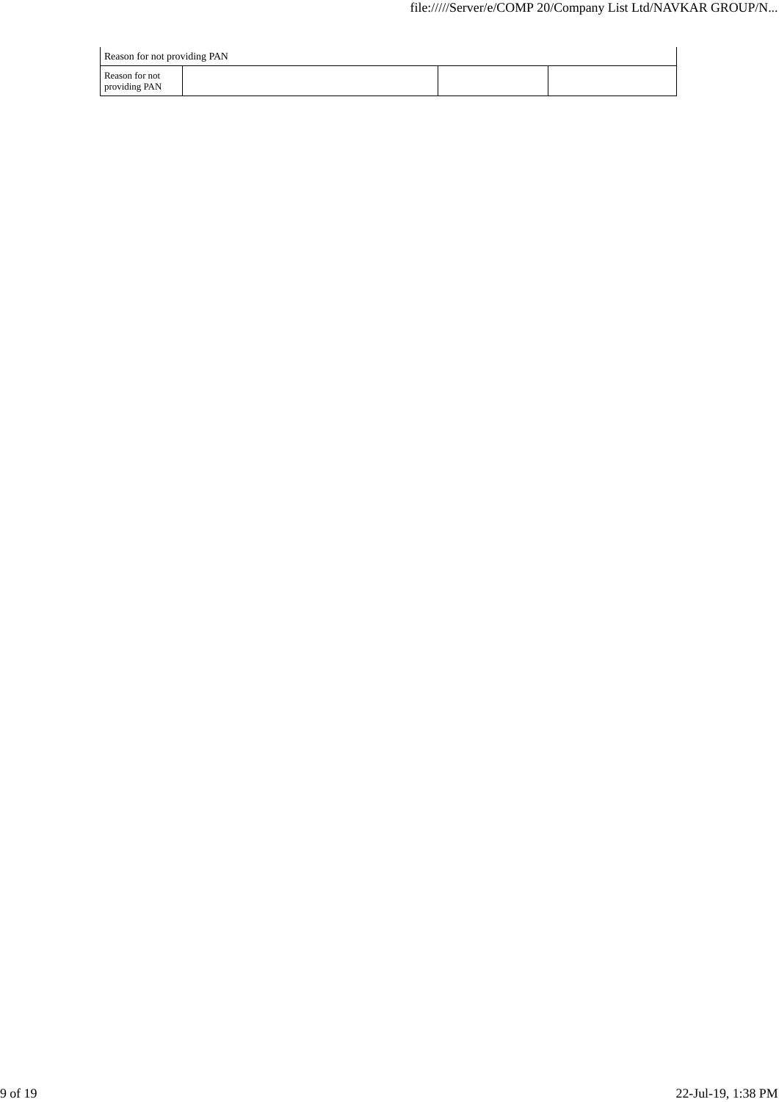| Reason for not providing PAN    |  |  |
|---------------------------------|--|--|
| Reason for not<br>providing PAN |  |  |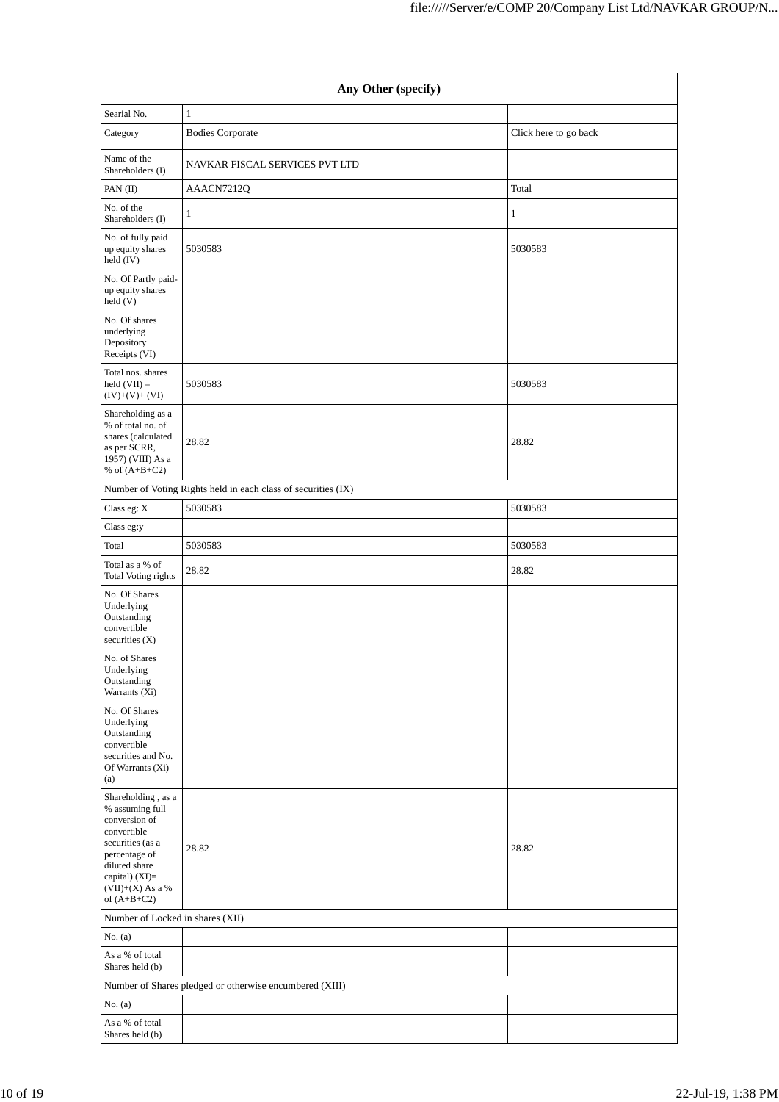|                                                                                                                                                                                         | Any Other (specify)                                           |                       |  |  |  |  |  |  |
|-----------------------------------------------------------------------------------------------------------------------------------------------------------------------------------------|---------------------------------------------------------------|-----------------------|--|--|--|--|--|--|
| Searial No.                                                                                                                                                                             | $1\,$                                                         |                       |  |  |  |  |  |  |
| Category                                                                                                                                                                                | <b>Bodies Corporate</b>                                       | Click here to go back |  |  |  |  |  |  |
| Name of the<br>Shareholders (I)                                                                                                                                                         | NAVKAR FISCAL SERVICES PVT LTD                                |                       |  |  |  |  |  |  |
| PAN $(II)$                                                                                                                                                                              | AAACN7212Q                                                    | Total                 |  |  |  |  |  |  |
| No. of the<br>Shareholders (I)                                                                                                                                                          | 1                                                             | 1                     |  |  |  |  |  |  |
| No. of fully paid<br>up equity shares<br>held (IV)                                                                                                                                      | 5030583                                                       | 5030583               |  |  |  |  |  |  |
| No. Of Partly paid-<br>up equity shares<br>held (V)                                                                                                                                     |                                                               |                       |  |  |  |  |  |  |
| No. Of shares<br>underlying<br>Depository<br>Receipts (VI)                                                                                                                              |                                                               |                       |  |  |  |  |  |  |
| Total nos. shares<br>held $(VII) =$<br>$(IV)+(V)+(VI)$                                                                                                                                  | 5030583                                                       | 5030583               |  |  |  |  |  |  |
| Shareholding as a<br>% of total no. of<br>shares (calculated<br>as per SCRR,<br>1957) (VIII) As a<br>% of $(A+B+C2)$                                                                    | 28.82                                                         | 28.82                 |  |  |  |  |  |  |
|                                                                                                                                                                                         | Number of Voting Rights held in each class of securities (IX) |                       |  |  |  |  |  |  |
| Class eg: X                                                                                                                                                                             | 5030583                                                       | 5030583               |  |  |  |  |  |  |
| Class eg:y                                                                                                                                                                              |                                                               |                       |  |  |  |  |  |  |
| Total                                                                                                                                                                                   | 5030583                                                       | 5030583               |  |  |  |  |  |  |
| Total as a % of<br>Total Voting rights                                                                                                                                                  | 28.82                                                         | 28.82                 |  |  |  |  |  |  |
| No. Of Shares<br>Underlying<br>Outstanding<br>convertible<br>securities $(X)$<br>No. of Shares<br>Underlying<br>Outstanding                                                             |                                                               |                       |  |  |  |  |  |  |
| Warrants (Xi)<br>No. Of Shares                                                                                                                                                          |                                                               |                       |  |  |  |  |  |  |
| Underlying<br>Outstanding<br>convertible<br>securities and No.<br>Of Warrants (Xi)<br>(a)                                                                                               |                                                               |                       |  |  |  |  |  |  |
| Shareholding, as a<br>% assuming full<br>conversion of<br>convertible<br>securities (as a<br>percentage of<br>diluted share<br>capital) (XI)=<br>$(VII)+(X)$ As a $\%$<br>of $(A+B+C2)$ | 28.82                                                         | 28.82                 |  |  |  |  |  |  |
| Number of Locked in shares (XII)                                                                                                                                                        |                                                               |                       |  |  |  |  |  |  |
| No. $(a)$                                                                                                                                                                               |                                                               |                       |  |  |  |  |  |  |
| As a % of total<br>Shares held (b)                                                                                                                                                      |                                                               |                       |  |  |  |  |  |  |
|                                                                                                                                                                                         | Number of Shares pledged or otherwise encumbered (XIII)       |                       |  |  |  |  |  |  |
| No. $(a)$                                                                                                                                                                               |                                                               |                       |  |  |  |  |  |  |
| As a % of total<br>Shares held (b)                                                                                                                                                      |                                                               |                       |  |  |  |  |  |  |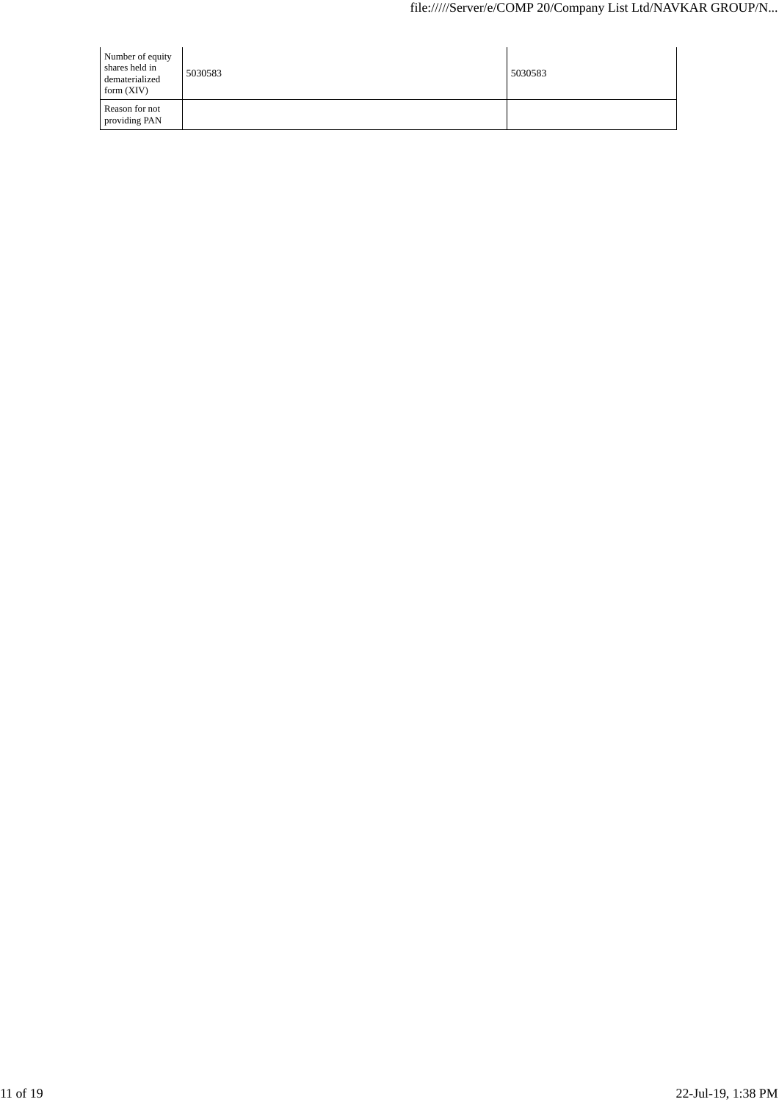| Number of equity<br>shares held in<br>dematerialized<br>form $(XIV)$ | 5030583 | 5030583 |
|----------------------------------------------------------------------|---------|---------|
| Reason for not<br>providing PAN                                      |         |         |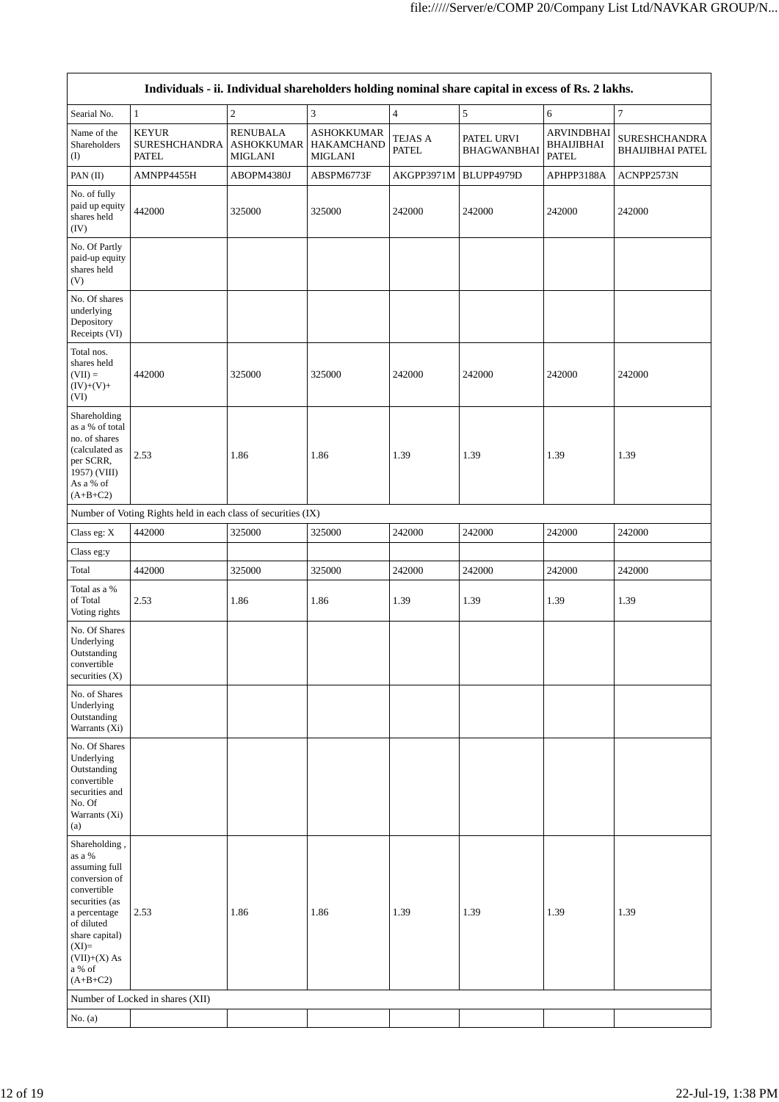|                                                                                                                                                                                                 |                                                               |                                                 |                                                          |                                | Individuals - ii. Individual shareholders holding nominal share capital in excess of Rs. 2 lakhs. |                                                        |                                                 |
|-------------------------------------------------------------------------------------------------------------------------------------------------------------------------------------------------|---------------------------------------------------------------|-------------------------------------------------|----------------------------------------------------------|--------------------------------|---------------------------------------------------------------------------------------------------|--------------------------------------------------------|-------------------------------------------------|
| Searial No.                                                                                                                                                                                     | $\mathbf{1}$                                                  | $\sqrt{2}$                                      | $\ensuremath{\mathfrak{Z}}$                              | $\overline{4}$                 | $\sqrt{5}$                                                                                        | 6                                                      | $\boldsymbol{7}$                                |
| Name of the<br>Shareholders<br>(I)                                                                                                                                                              | <b>KEYUR</b><br><b>SURESHCHANDRA</b><br><b>PATEL</b>          | <b>RENUBALA</b><br><b>ASHOKKUMAR</b><br>MIGLANI | <b>ASHOKKUMAR</b><br><b>HAKAMCHAND</b><br><b>MIGLANI</b> | <b>TEJAS A</b><br><b>PATEL</b> | PATEL URVI<br><b>BHAGWANBHAI</b>                                                                  | <b>ARVINDBHAI</b><br><b>BHAIJIBHAI</b><br><b>PATEL</b> | <b>SURESHCHANDRA</b><br><b>BHAIJIBHAI PATEL</b> |
| PAN(II)                                                                                                                                                                                         | AMNPP4455H                                                    | ABOPM4380J                                      | ABSPM6773F                                               | AKGPP3971M                     | BLUPP4979D                                                                                        | APHPP3188A                                             | ACNPP2573N                                      |
| No. of fully<br>paid up equity<br>shares held<br>(IV)                                                                                                                                           | 442000                                                        | 325000                                          | 325000                                                   | 242000                         | 242000                                                                                            | 242000                                                 | 242000                                          |
| No. Of Partly<br>paid-up equity<br>shares held<br>(V)                                                                                                                                           |                                                               |                                                 |                                                          |                                |                                                                                                   |                                                        |                                                 |
| No. Of shares<br>underlying<br>Depository<br>Receipts (VI)                                                                                                                                      |                                                               |                                                 |                                                          |                                |                                                                                                   |                                                        |                                                 |
| Total nos.<br>shares held<br>$(VII) =$<br>$(IV)+(V)+$<br>(VI)                                                                                                                                   | 442000                                                        | 325000                                          | 325000                                                   | 242000                         | 242000                                                                                            | 242000                                                 | 242000                                          |
| Shareholding<br>as a % of total<br>no. of shares<br>(calculated as<br>per SCRR,<br>1957) (VIII)<br>As a % of<br>$(A+B+C2)$                                                                      | 2.53                                                          | 1.86                                            | 1.86                                                     | 1.39                           | 1.39                                                                                              | 1.39                                                   | 1.39                                            |
|                                                                                                                                                                                                 | Number of Voting Rights held in each class of securities (IX) |                                                 |                                                          |                                |                                                                                                   |                                                        |                                                 |
| Class eg: X                                                                                                                                                                                     | 442000                                                        | 325000                                          | 325000                                                   | 242000                         | 242000                                                                                            | 242000                                                 | 242000                                          |
| Class eg:y                                                                                                                                                                                      |                                                               |                                                 |                                                          |                                |                                                                                                   |                                                        |                                                 |
| Total                                                                                                                                                                                           | 442000                                                        | 325000                                          | 325000                                                   | 242000                         | 242000                                                                                            | 242000                                                 | 242000                                          |
| Total as a %<br>of Total<br>Voting rights                                                                                                                                                       | 2.53                                                          | 1.86                                            | 1.86                                                     | 1.39                           | 1.39                                                                                              | 1.39                                                   | 1.39                                            |
| No. Of Shares<br>Underlying<br>Outstanding<br>convertible<br>securities $(X)$                                                                                                                   |                                                               |                                                 |                                                          |                                |                                                                                                   |                                                        |                                                 |
| No. of Shares<br>Underlying<br>Outstanding<br>Warrants (Xi)                                                                                                                                     |                                                               |                                                 |                                                          |                                |                                                                                                   |                                                        |                                                 |
| No. Of Shares<br>Underlying<br>Outstanding<br>convertible<br>securities and<br>No. Of<br>Warrants (Xi)<br>(a)                                                                                   |                                                               |                                                 |                                                          |                                |                                                                                                   |                                                        |                                                 |
| Shareholding,<br>as a %<br>assuming full<br>conversion of<br>convertible<br>securities (as<br>a percentage<br>of diluted<br>share capital)<br>$(XI)=$<br>$(VII)+(X)$ As<br>a % of<br>$(A+B+C2)$ | 2.53                                                          | 1.86                                            | 1.86                                                     | 1.39                           | 1.39                                                                                              | 1.39                                                   | 1.39                                            |
|                                                                                                                                                                                                 | Number of Locked in shares (XII)                              |                                                 |                                                          |                                |                                                                                                   |                                                        |                                                 |
| No. $(a)$                                                                                                                                                                                       |                                                               |                                                 |                                                          |                                |                                                                                                   |                                                        |                                                 |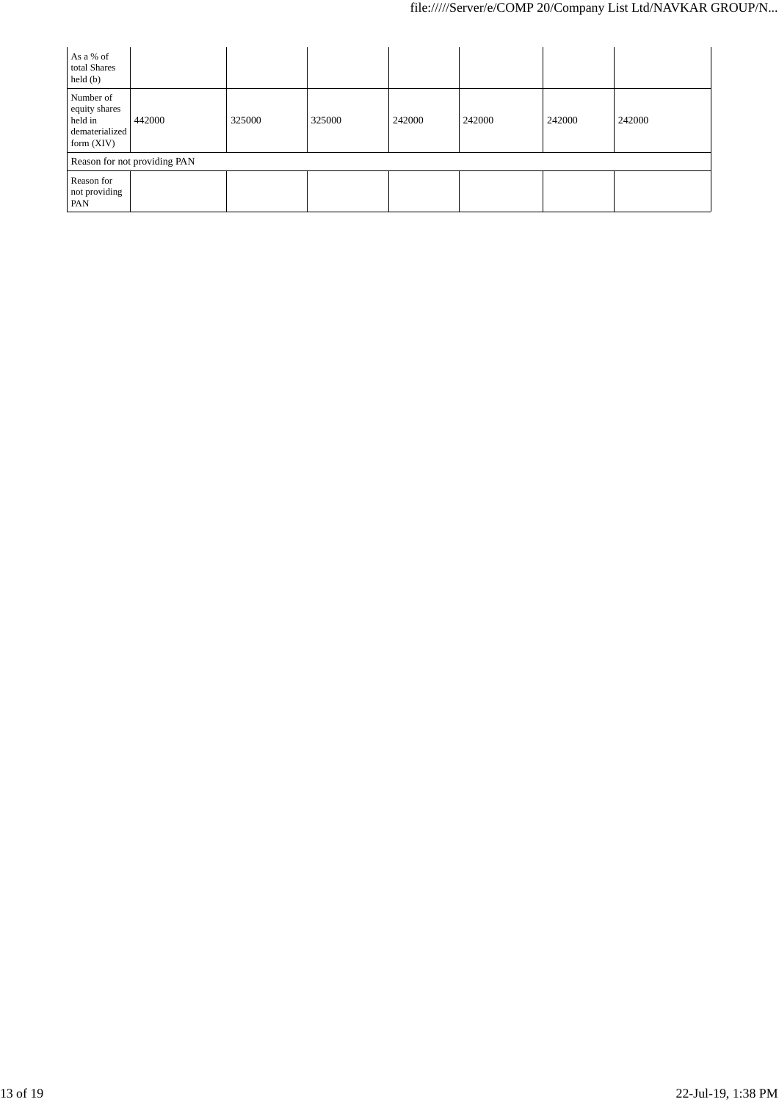| As a % of<br>total Shares<br>$\text{held}(\text{b})$                    |        |        |        |        |        |        |        |
|-------------------------------------------------------------------------|--------|--------|--------|--------|--------|--------|--------|
| Number of<br>equity shares<br>held in<br>dematerialized<br>form $(XIV)$ | 442000 | 325000 | 325000 | 242000 | 242000 | 242000 | 242000 |
| Reason for not providing PAN                                            |        |        |        |        |        |        |        |
| Reason for<br>not providing<br>PAN                                      |        |        |        |        |        |        |        |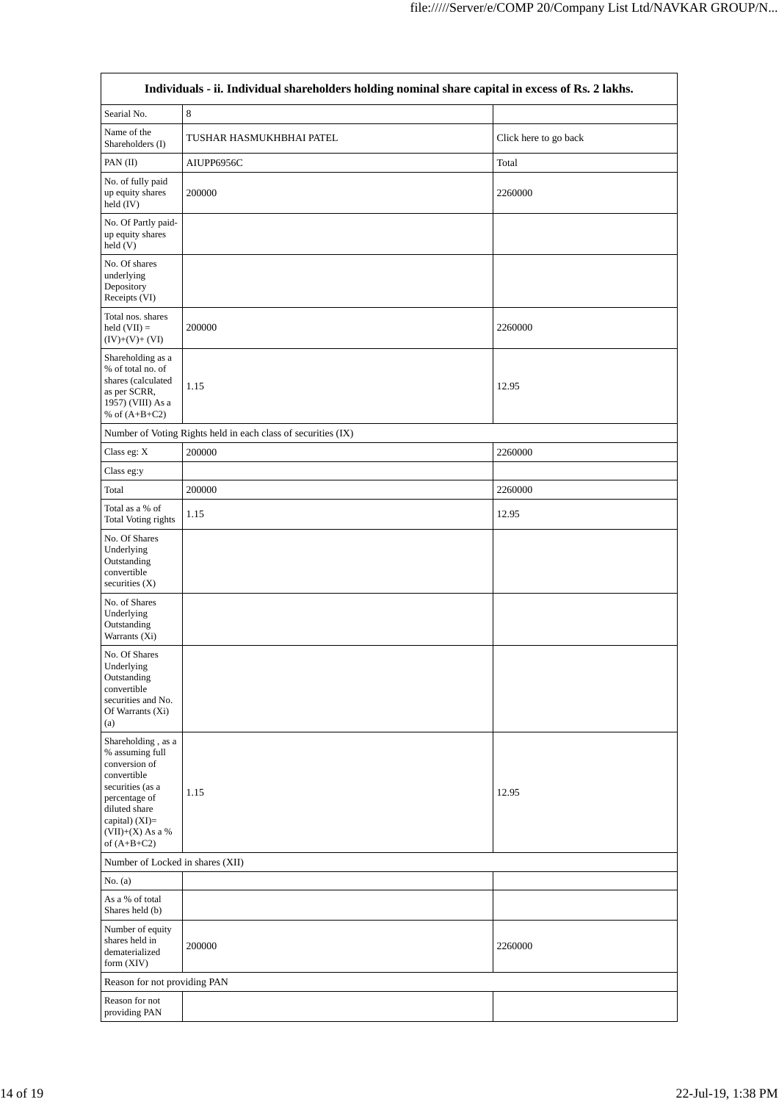| Individuals - ii. Individual shareholders holding nominal share capital in excess of Rs. 2 lakhs.                                                                                    |                                                               |                       |  |  |  |
|--------------------------------------------------------------------------------------------------------------------------------------------------------------------------------------|---------------------------------------------------------------|-----------------------|--|--|--|
| Searial No.                                                                                                                                                                          | $\,8\,$                                                       |                       |  |  |  |
| Name of the<br>Shareholders (I)                                                                                                                                                      | TUSHAR HASMUKHBHAI PATEL                                      | Click here to go back |  |  |  |
| PAN (II)                                                                                                                                                                             | AIUPP6956C                                                    | Total                 |  |  |  |
| No. of fully paid<br>up equity shares<br>held (IV)                                                                                                                                   | 200000                                                        | 2260000               |  |  |  |
| No. Of Partly paid-<br>up equity shares<br>held(V)                                                                                                                                   |                                                               |                       |  |  |  |
| No. Of shares<br>underlying<br>Depository<br>Receipts (VI)                                                                                                                           |                                                               |                       |  |  |  |
| Total nos. shares<br>held $(VII) =$<br>$(IV)+(V)+(VI)$                                                                                                                               | 200000                                                        | 2260000               |  |  |  |
| Shareholding as a<br>% of total no. of<br>shares (calculated<br>as per SCRR,<br>1957) (VIII) As a<br>% of $(A+B+C2)$                                                                 | 1.15                                                          | 12.95                 |  |  |  |
|                                                                                                                                                                                      | Number of Voting Rights held in each class of securities (IX) |                       |  |  |  |
| Class eg: X                                                                                                                                                                          | 200000                                                        | 2260000               |  |  |  |
| Class eg:y                                                                                                                                                                           |                                                               |                       |  |  |  |
| Total                                                                                                                                                                                | 200000                                                        | 2260000               |  |  |  |
| Total as a % of<br><b>Total Voting rights</b>                                                                                                                                        | 1.15                                                          | 12.95                 |  |  |  |
| No. Of Shares<br>Underlying<br>Outstanding<br>convertible<br>securities $(X)$                                                                                                        |                                                               |                       |  |  |  |
| No. of Shares<br>Underlying<br>Outstanding<br>Warrants (Xi)                                                                                                                          |                                                               |                       |  |  |  |
| No. Of Shares<br>Underlying<br>Outstanding<br>convertible<br>securities and No.<br>Of Warrants (Xi)<br>(a)                                                                           |                                                               |                       |  |  |  |
| Shareholding, as a<br>% assuming full<br>conversion of<br>convertible<br>securities (as a<br>percentage of<br>diluted share<br>capital) (XI)=<br>$(VII)+(X)$ As a %<br>of $(A+B+C2)$ | 1.15                                                          | 12.95                 |  |  |  |
| Number of Locked in shares (XII)                                                                                                                                                     |                                                               |                       |  |  |  |
| No. $(a)$                                                                                                                                                                            |                                                               |                       |  |  |  |
| As a % of total<br>Shares held (b)                                                                                                                                                   |                                                               |                       |  |  |  |
| Number of equity<br>shares held in<br>dematerialized<br>form $(XIV)$                                                                                                                 | 200000                                                        | 2260000               |  |  |  |
| Reason for not providing PAN                                                                                                                                                         |                                                               |                       |  |  |  |
| Reason for not                                                                                                                                                                       |                                                               |                       |  |  |  |
| providing PAN                                                                                                                                                                        |                                                               |                       |  |  |  |

 $\overline{\mathbb{I}}$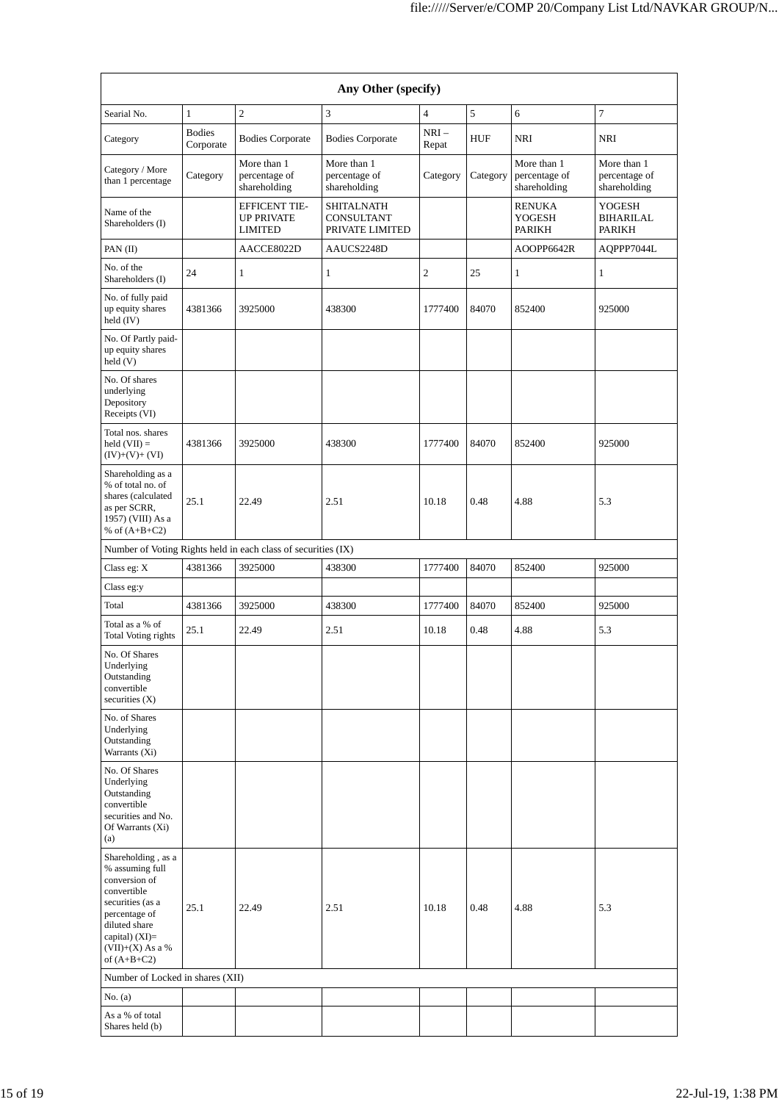| Any Other (specify)                                                                                                                                                                  |                            |                                                               |                                                           |                 |            |                                              |                                              |
|--------------------------------------------------------------------------------------------------------------------------------------------------------------------------------------|----------------------------|---------------------------------------------------------------|-----------------------------------------------------------|-----------------|------------|----------------------------------------------|----------------------------------------------|
| Searial No.                                                                                                                                                                          | $\mathbf{1}$               | $\overline{2}$                                                | 3                                                         | 4               | 5          | 6                                            | $\overline{7}$                               |
| Category                                                                                                                                                                             | <b>Bodies</b><br>Corporate | <b>Bodies Corporate</b>                                       | <b>Bodies Corporate</b>                                   | $NRI-$<br>Repat | <b>HUF</b> | NRI                                          | <b>NRI</b>                                   |
| Category / More<br>than 1 percentage                                                                                                                                                 | Category                   | More than 1<br>percentage of<br>shareholding                  | More than 1<br>percentage of<br>shareholding              | Category        | Category   | More than 1<br>percentage of<br>shareholding | More than 1<br>percentage of<br>shareholding |
| Name of the<br>Shareholders (I)                                                                                                                                                      |                            | <b>EFFICENT TIE-</b><br><b>UP PRIVATE</b><br><b>LIMITED</b>   | <b>SHITALNATH</b><br><b>CONSULTANT</b><br>PRIVATE LIMITED |                 |            | <b>RENUKA</b><br>YOGESH<br>PARIKH            | YOGESH<br>BIHARILAL<br><b>PARIKH</b>         |
| PAN (II)                                                                                                                                                                             |                            | AACCE8022D                                                    | AAUCS2248D                                                |                 |            | AOOPP6642R                                   | AQPPP7044L                                   |
| No. of the<br>Shareholders (I)                                                                                                                                                       | 24                         | $\,1$                                                         | $\mathbf{1}$                                              | $\overline{c}$  | 25         | $\mathbf{1}$                                 | $\mathbf{1}$                                 |
| No. of fully paid<br>up equity shares<br>held (IV)                                                                                                                                   | 4381366                    | 3925000                                                       | 438300                                                    | 1777400         | 84070      | 852400                                       | 925000                                       |
| No. Of Partly paid-<br>up equity shares<br>held (V)                                                                                                                                  |                            |                                                               |                                                           |                 |            |                                              |                                              |
| No. Of shares<br>underlying<br>Depository<br>Receipts (VI)                                                                                                                           |                            |                                                               |                                                           |                 |            |                                              |                                              |
| Total nos. shares<br>held $(VII) =$<br>$(IV)+(V)+(VI)$                                                                                                                               | 4381366                    | 3925000                                                       | 438300                                                    | 1777400         | 84070      | 852400                                       | 925000                                       |
| Shareholding as a<br>% of total no. of<br>shares (calculated<br>as per SCRR,<br>1957) (VIII) As a<br>% of $(A+B+C2)$                                                                 | 25.1                       | 22.49                                                         | 2.51                                                      | 10.18           | 0.48       | 4.88                                         | 5.3                                          |
|                                                                                                                                                                                      |                            | Number of Voting Rights held in each class of securities (IX) |                                                           |                 |            |                                              |                                              |
| Class eg: X                                                                                                                                                                          | 4381366                    | 3925000                                                       | 438300                                                    | 1777400         | 84070      | 852400                                       | 925000                                       |
| Class eg:y                                                                                                                                                                           |                            |                                                               |                                                           |                 |            |                                              |                                              |
| Total                                                                                                                                                                                | 4381366                    | 3925000                                                       | 438300                                                    | 1777400         | 84070      | 852400                                       | 925000                                       |
| Total as a % of<br>Total Voting rights                                                                                                                                               | 25.1                       | 22.49                                                         | 2.51                                                      | 10.18           | 0.48       | 4.88                                         | 5.3                                          |
| No. Of Shares<br>Underlying<br>Outstanding<br>convertible<br>securities $(X)$                                                                                                        |                            |                                                               |                                                           |                 |            |                                              |                                              |
| No. of Shares<br>Underlying<br>Outstanding<br>Warrants (Xi)                                                                                                                          |                            |                                                               |                                                           |                 |            |                                              |                                              |
| No. Of Shares<br>Underlying<br>Outstanding<br>convertible<br>securities and No.<br>Of Warrants (Xi)<br>(a)                                                                           |                            |                                                               |                                                           |                 |            |                                              |                                              |
| Shareholding, as a<br>% assuming full<br>conversion of<br>convertible<br>securities (as a<br>percentage of<br>diluted share<br>capital) (XI)=<br>$(VII)+(X)$ As a %<br>of $(A+B+C2)$ | 25.1                       | 22.49                                                         | 2.51                                                      | 10.18           | 0.48       | 4.88                                         | 5.3                                          |
| Number of Locked in shares (XII)                                                                                                                                                     |                            |                                                               |                                                           |                 |            |                                              |                                              |
| No. (a)                                                                                                                                                                              |                            |                                                               |                                                           |                 |            |                                              |                                              |
| As a % of total<br>Shares held (b)                                                                                                                                                   |                            |                                                               |                                                           |                 |            |                                              |                                              |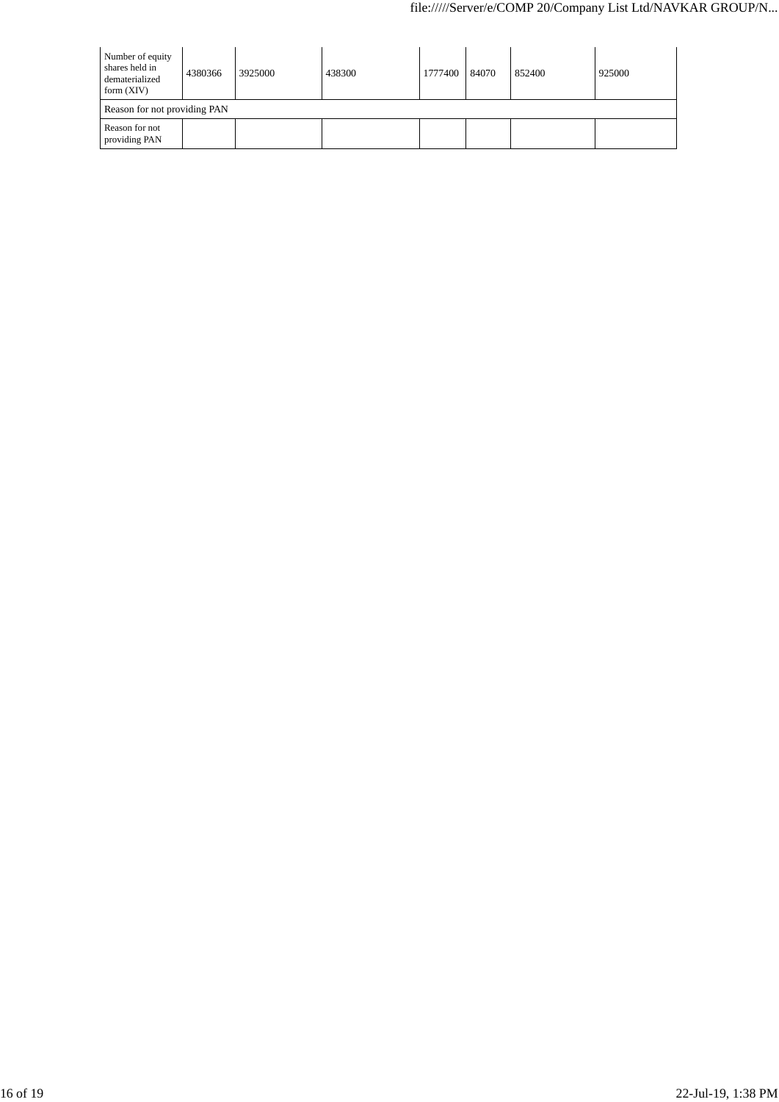| Number of equity<br>shares held in<br>dematerialized<br>form $(XIV)$ | 4380366 | 3925000 | 438300 | 1777400 | 84070 | 852400 | 925000 |
|----------------------------------------------------------------------|---------|---------|--------|---------|-------|--------|--------|
| Reason for not providing PAN                                         |         |         |        |         |       |        |        |
| Reason for not<br>providing PAN                                      |         |         |        |         |       |        |        |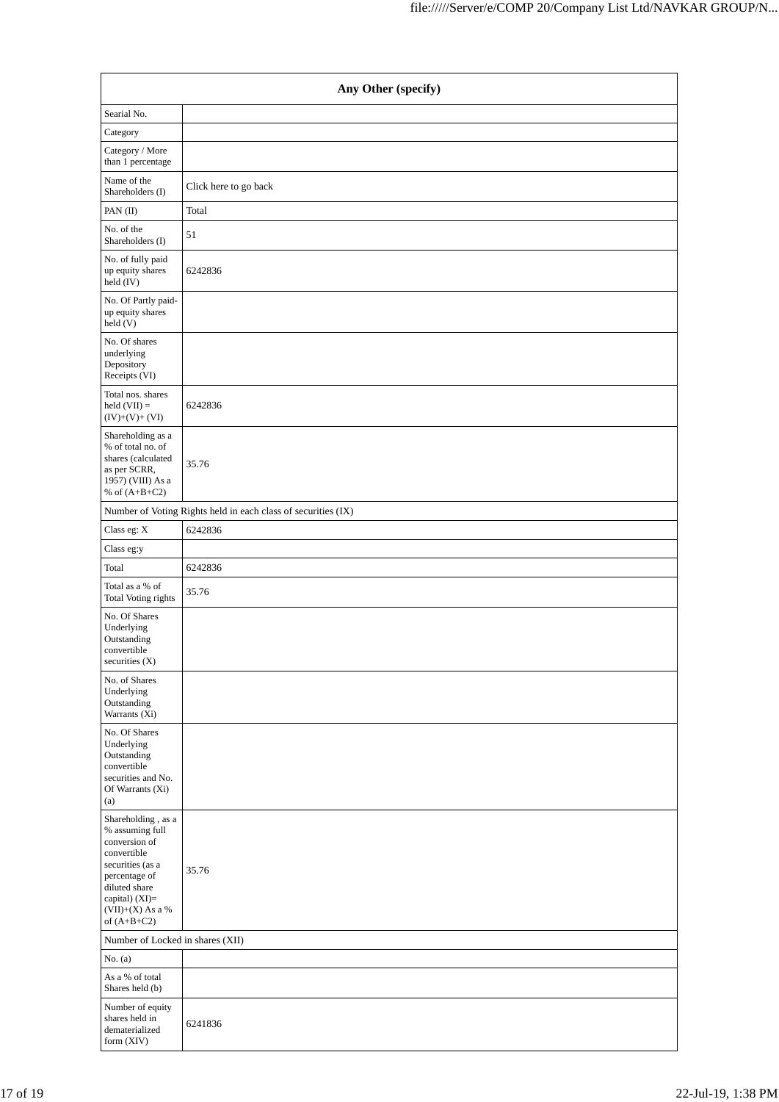| Any Other (specify)                                                                                                                                                                  |                                                               |  |  |  |  |
|--------------------------------------------------------------------------------------------------------------------------------------------------------------------------------------|---------------------------------------------------------------|--|--|--|--|
| Searial No.                                                                                                                                                                          |                                                               |  |  |  |  |
| Category                                                                                                                                                                             |                                                               |  |  |  |  |
| Category / More<br>than 1 percentage                                                                                                                                                 |                                                               |  |  |  |  |
| Name of the<br>Shareholders (I)                                                                                                                                                      | Click here to go back                                         |  |  |  |  |
| PAN (II)                                                                                                                                                                             | Total                                                         |  |  |  |  |
| No. of the<br>Shareholders (I)                                                                                                                                                       | 51                                                            |  |  |  |  |
| No. of fully paid<br>up equity shares<br>held (IV)                                                                                                                                   | 6242836                                                       |  |  |  |  |
| No. Of Partly paid-<br>up equity shares<br>held(V)                                                                                                                                   |                                                               |  |  |  |  |
| No. Of shares<br>underlying<br>Depository<br>Receipts (VI)                                                                                                                           |                                                               |  |  |  |  |
| Total nos. shares<br>held $(VII) =$<br>$(IV)+(V)+(VI)$                                                                                                                               | 6242836                                                       |  |  |  |  |
| Shareholding as a<br>% of total no. of<br>shares (calculated<br>as per SCRR,<br>1957) (VIII) As a<br>% of $(A+B+C2)$                                                                 | 35.76                                                         |  |  |  |  |
|                                                                                                                                                                                      | Number of Voting Rights held in each class of securities (IX) |  |  |  |  |
| Class eg: X                                                                                                                                                                          | 6242836                                                       |  |  |  |  |
| Class eg:y                                                                                                                                                                           |                                                               |  |  |  |  |
| Total                                                                                                                                                                                | 6242836                                                       |  |  |  |  |
| Total as a % of<br>Total Voting rights                                                                                                                                               | 35.76                                                         |  |  |  |  |
| No. Of Shares<br>Underlying<br>Outstanding<br>convertible<br>securities (X)                                                                                                          |                                                               |  |  |  |  |
| No. of Shares<br>Underlying<br>Outstanding<br>Warrants (Xi)                                                                                                                          |                                                               |  |  |  |  |
| No. Of Shares<br>Underlying<br>Outstanding<br>convertible<br>securities and No.<br>Of Warrants (Xi)<br>(a)                                                                           |                                                               |  |  |  |  |
| Shareholding, as a<br>% assuming full<br>conversion of<br>convertible<br>securities (as a<br>percentage of<br>diluted share<br>capital) (XI)=<br>$(VII)+(X)$ As a %<br>of $(A+B+C2)$ | 35.76                                                         |  |  |  |  |
| Number of Locked in shares (XII)                                                                                                                                                     |                                                               |  |  |  |  |
| No. $(a)$                                                                                                                                                                            |                                                               |  |  |  |  |
| As a % of total<br>Shares held (b)                                                                                                                                                   |                                                               |  |  |  |  |
| Number of equity<br>shares held in<br>dematerialized<br>form (XIV)                                                                                                                   | 6241836                                                       |  |  |  |  |